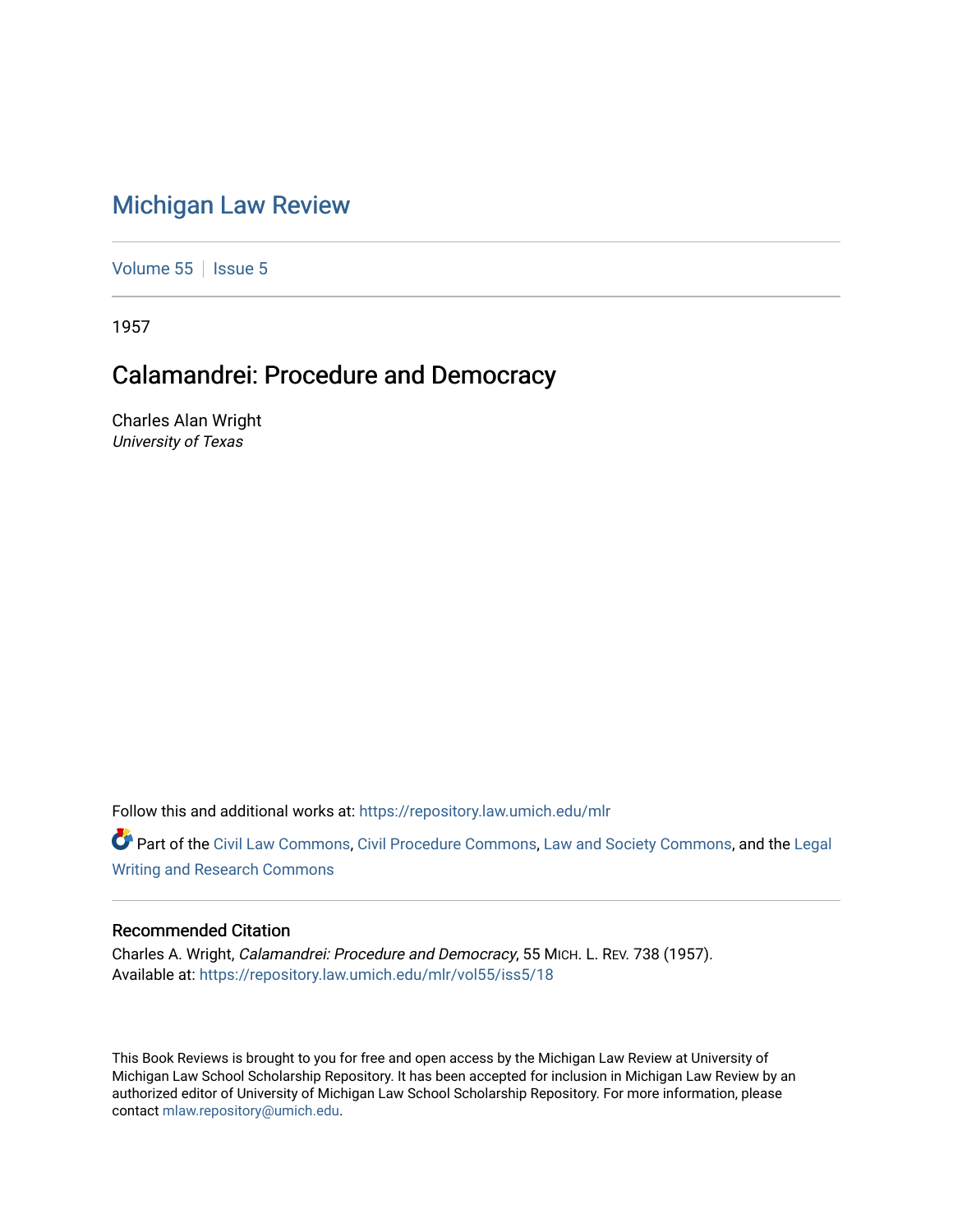## [Michigan Law Review](https://repository.law.umich.edu/mlr)

[Volume 55](https://repository.law.umich.edu/mlr/vol55) | [Issue 5](https://repository.law.umich.edu/mlr/vol55/iss5)

1957

## Calamandrei: Procedure and Democracy

Charles Alan Wright University of Texas

Follow this and additional works at: [https://repository.law.umich.edu/mlr](https://repository.law.umich.edu/mlr?utm_source=repository.law.umich.edu%2Fmlr%2Fvol55%2Fiss5%2F18&utm_medium=PDF&utm_campaign=PDFCoverPages) 

Part of the [Civil Law Commons](http://network.bepress.com/hgg/discipline/835?utm_source=repository.law.umich.edu%2Fmlr%2Fvol55%2Fiss5%2F18&utm_medium=PDF&utm_campaign=PDFCoverPages), [Civil Procedure Commons,](http://network.bepress.com/hgg/discipline/584?utm_source=repository.law.umich.edu%2Fmlr%2Fvol55%2Fiss5%2F18&utm_medium=PDF&utm_campaign=PDFCoverPages) [Law and Society Commons](http://network.bepress.com/hgg/discipline/853?utm_source=repository.law.umich.edu%2Fmlr%2Fvol55%2Fiss5%2F18&utm_medium=PDF&utm_campaign=PDFCoverPages), and the Legal [Writing and Research Commons](http://network.bepress.com/hgg/discipline/614?utm_source=repository.law.umich.edu%2Fmlr%2Fvol55%2Fiss5%2F18&utm_medium=PDF&utm_campaign=PDFCoverPages) 

## Recommended Citation

Charles A. Wright, Calamandrei: Procedure and Democracy, 55 MICH. L. REV. 738 (1957). Available at: [https://repository.law.umich.edu/mlr/vol55/iss5/18](https://repository.law.umich.edu/mlr/vol55/iss5/18?utm_source=repository.law.umich.edu%2Fmlr%2Fvol55%2Fiss5%2F18&utm_medium=PDF&utm_campaign=PDFCoverPages) 

This Book Reviews is brought to you for free and open access by the Michigan Law Review at University of Michigan Law School Scholarship Repository. It has been accepted for inclusion in Michigan Law Review by an authorized editor of University of Michigan Law School Scholarship Repository. For more information, please contact [mlaw.repository@umich.edu](mailto:mlaw.repository@umich.edu).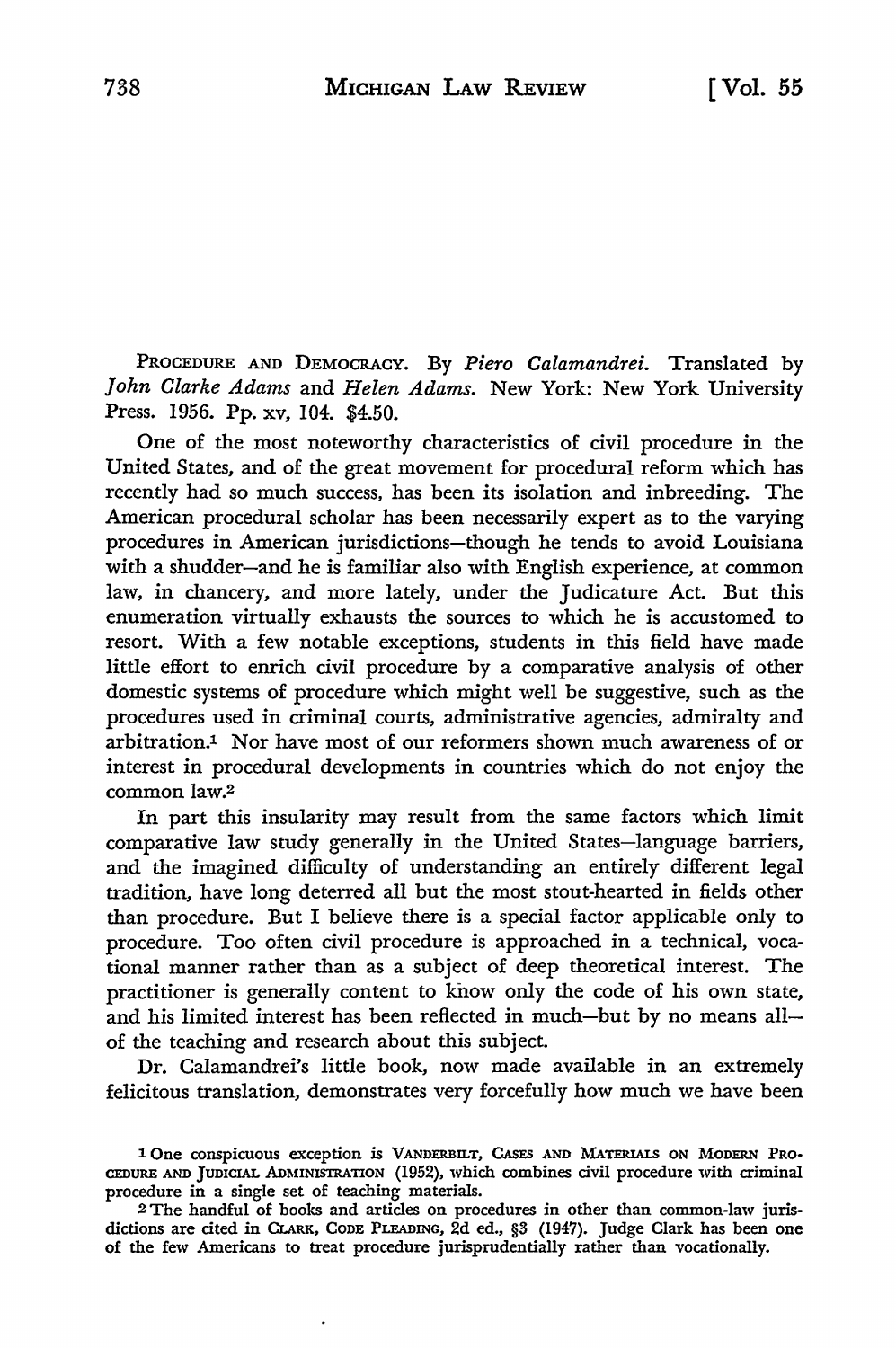PROCEDURE AND DEMOCRACY. By *Piero Calamandrei.* Translated by *John Clarke Adams* and *Helen Adams.* New York: New York University Press. 1956. Pp. xv, 104. \$4.50.

One of the most noteworthy characteristics of civil procedure in the United States, and of the great movement for procedural reform which has recently had so much success, has been its isolation and inbreeding. The American procedural scholar has been necessarily expert as to the varying procedures in American jurisdictions-though he tends to avoid Louisiana with a shudder-and he is familiar also with English experience, at common law, in chancery, and more lately, under the Judicature Act. But this enumeration virtually exhausts the sources to which he is accustomed to resort. With a few notable exceptions, students in this field have made little effort to enrich civil procedure by a comparative analysis of other domestic systems of procedure which might well be suggestive, such as the procedures used in criminal courts, administrative agencies, admiralty and arbitration.<sup>1</sup> Nor have most of our reformers shown much awareness of or interest in procedural developments in countries which do not enjoy the common law.2

In part this insularity may result from the same factors which limit comparative law study generally in the United States-language barriers, and the imagined difficulty of understanding an entirely different legal tradition, have long deterred all but the most stout-hearted in fields other than procedure. But I believe there is a special factor applicable only to procedure. Too often civil procedure is approached in a technical, vocational manner rather than as a subject of deep theoretical interest. The practitioner is generally content to know only the code of his own state, and his limited interest has been reflected in much-but by no means allof the teaching and research about this subject.

Dr. Calamandrei's little book, now made available in an extremely felicitous translation, demonstrates very forcefully how much we have been

<sup>1</sup> One conspicuous exception is VANDERBILT, CASES AND MATERIALS ON MODERN PRO-CEDURE AND JUDICIAL ADMINISTRATION (1952), which combines civil procedure with criminal procedure in a single set of teaching materials.

<sup>2</sup> The handful of books and articles on procedures in other than common-law jurisdictions are cited in CLARK, CODE PLEADING, 2d ed., §3 (1947). Judge Clark has been one of the few Americans to treat procedure jurisprudentially rather than vocationally.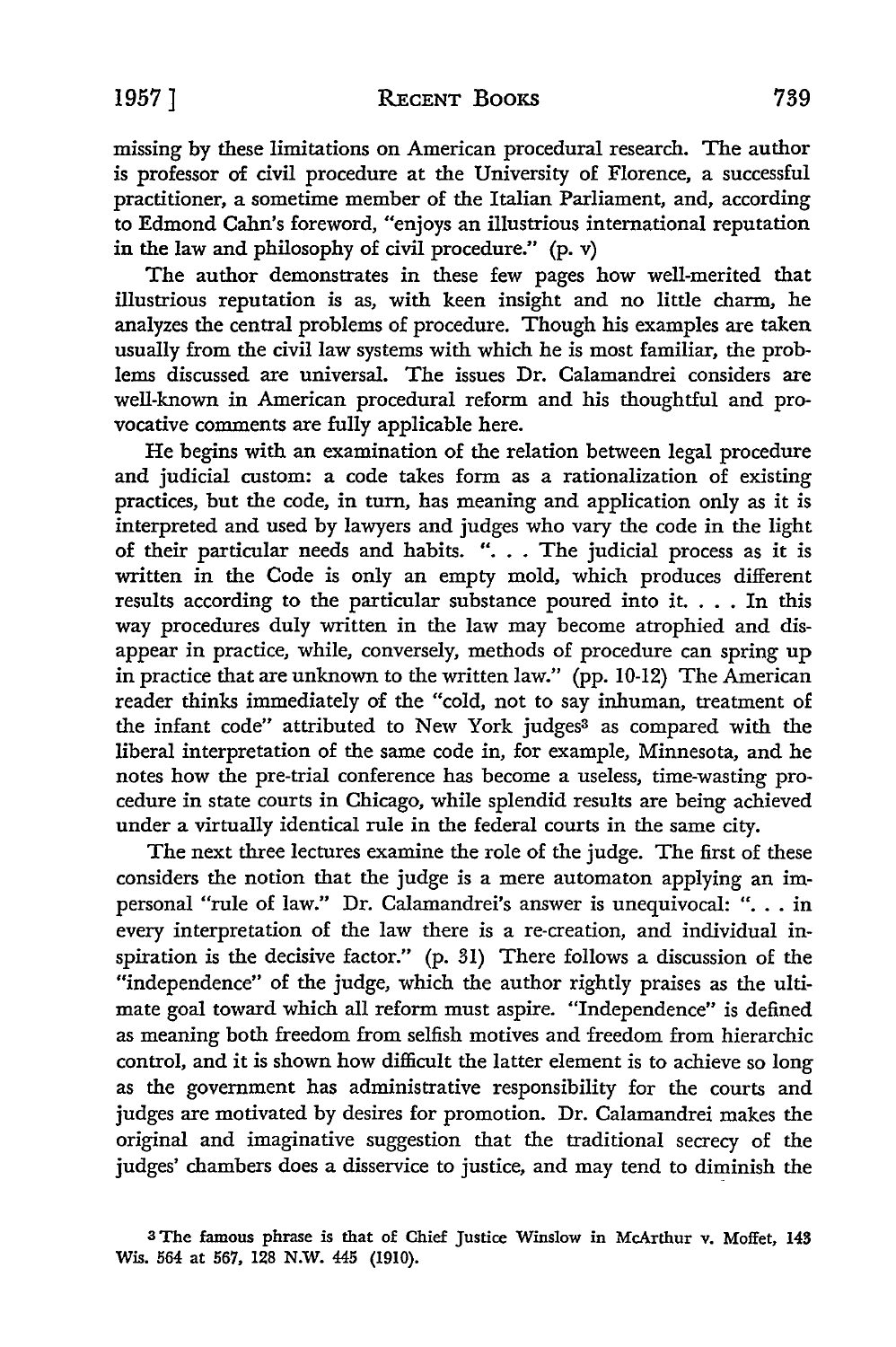## 1957] RECENT BOOKS 739

missing by these limitations on American procedural research. The author is professor of civil procedure at the University of Florence, a successful practitioner, a sometime member of the Italian Parliament, and, according to Edmond Cahn's foreword, "enjoys an illustrious international reputation in the law and philosophy of civil procedure."  $(p, v)$ 

The author demonstrates in these few pages how well-merited that illustrious reputation is as, with keen insight and no little charm, he analyzes the central problems of procedure. Though his examples are taken usually from the civil law systems with which he is most familiar, the problems discussed are universal. The issues Dr. Calamandrei considers are well-known in American procedural reform and his thoughtful and provocative comments are fully applicable here.

He begins with an examination of the relation between legal procedure and judicial custom: a code takes form as a rationalization of existing practices, but the code, in turn, has meaning and application only as it is interpreted and used by lawyers and judges who vary the code in the light of their particular needs and habits. ". . . The judicial process as it is written in the Code is only an empty mold, which produces different results according to the particular substance poured into it. . . . In this way procedures duly written in the law may become atrophied and disappear in practice, while, conversely, methods of procedure can spring up in practice that are unknown to the written law." (pp. 10-12) The American reader thinks immediately of the "cold, not to say inhuman, treatment of the infant code" attributed to New York judges<sup>3</sup> as compared with the liberal interpretation of the same code in, for example, Minnesota, and he notes how the pre-trial conference has become a useless, time-wasting procedure in state courts in Chicago, while splendid results are being achieved under a virtually identical rule in the federal courts in the same city.

The next three lectures examine the role of the judge. The first of these considers the notion that the judge is a mere automaton applying an impersonal "rule of law." Dr. Calamandrei's answer is unequivocal: ". . . in every interpretation of the law there is a re-creation, and individual inspiration is the decisive factor." (p. 31) There follows a discussion of the "independence" of the judge, which the author rightly praises as the ultimate goal toward which all reform must aspire. "Independence" is defined as meaning both freedom from selfish motives and freedom from hierarchic control, and it is shown how difficult the latter element is to achieve so long as the government has administrative responsibility for the courts and judges are motivated by desires for promotion. Dr. Calamandrei makes the original and imaginative suggestion that the traditional secrecy of the judges' chambers does a disservice to justice, and may tend to diminish the

<sup>3</sup>The famous phrase is that of Chief Justice Winslow in McArthur v. Moffet, 143 Wis. 564 at 567, 128 N.W. 445 (1910).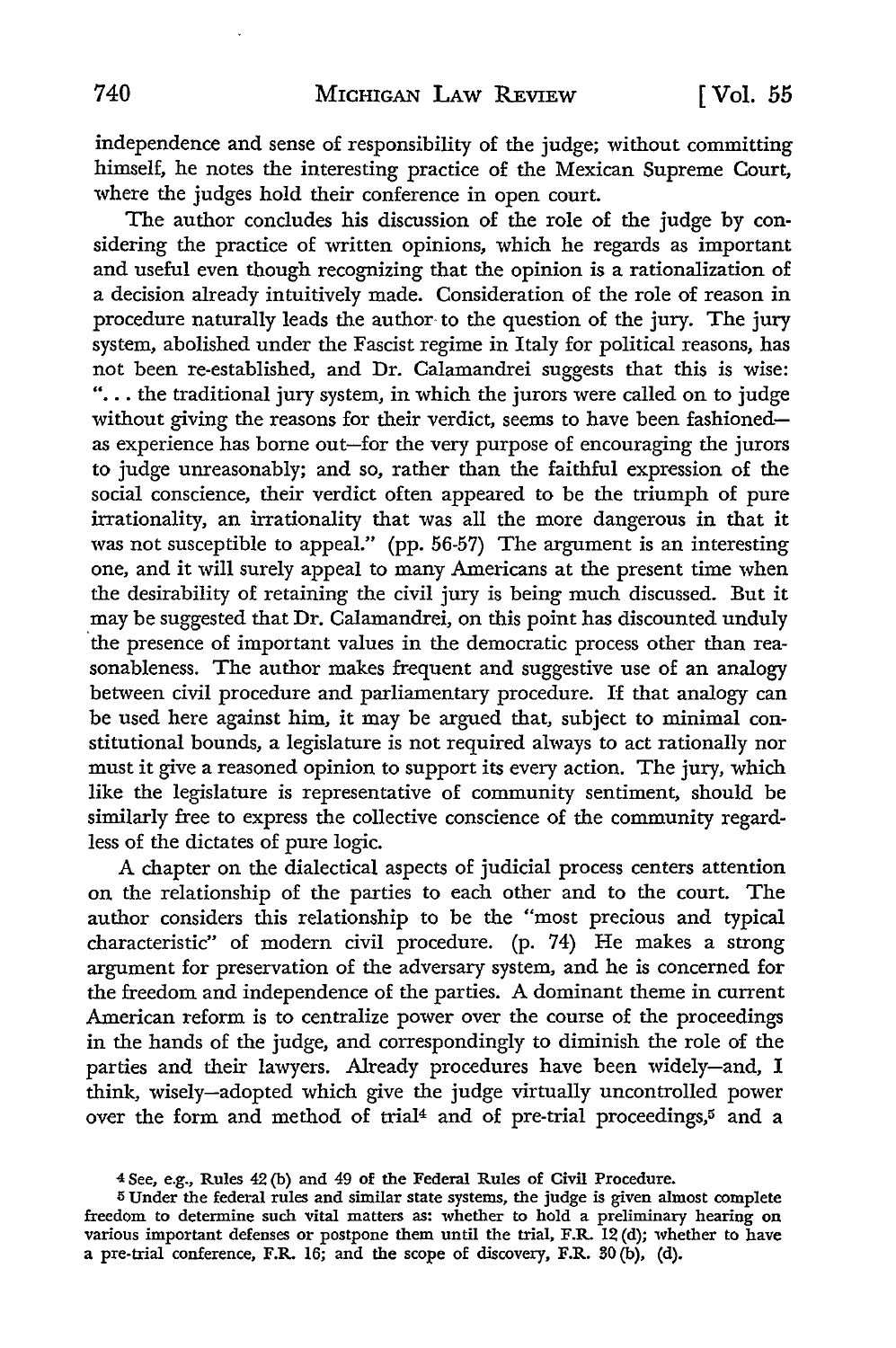independence and sense of responsibility of the judge; without committing himself, he notes the interesting practice of the Mexican Supreme *Court,*  where the judges hold their conference in open court.

The author concludes his discussion of the role of the judge by considering the practice of written opinions, which he regards as important and useful even though recognizing that the opinion is a rationalization of a decision already intuitively made. Consideration of the role of reason in procedure naturally leads the author- to the question of the jury. The jury system, abolished under the Fascist regime in Italy for political reasons, has not been re-established, and Dr. Calamandrei suggests that this is wise: "... the traditional jury system, in which the jurors were called on to judge without giving the reasons for their verdict, seems to have been fashionedas experience has borne out-for the very purpose of encouraging the jurors to judge unreasonably; and so, rather than the faithful expression of the social conscience, their verdict often appeared to be the triumph of pure irrationality, an irrationality that was all the more dangerous in that it was not susceptible to appeal." (pp. 56-57) The argument is an interesting *one,* and it will surely appeal to many Americans at the present time when the desirability of retaining the civil jury is being much discussed. But it may be suggested that Dr. Calamandrei, on this point has discounted unduly the presence of important values in the democratic process other than reasonableness. The author makes frequent and suggestive use of an analogy between civil procedure and parliamentary procedure. If that analogy can be used here against him, it may be argued that, subject to minimal constitutional bounds, a legislature is not required always to act rationally nor must it give a reasoned opinion to support its every action. The jury, which like the legislature is representative of community sentiment, should be similarly free to express the collective conscience of the community regardless of the dictates of pure logic.

A chapter on the dialectical aspects of judicial process centers attention on the relationship of the parties to each other and to the court. The author considers this relationship to be the "most precious and typical characteristic" of modern civil procedure. (p. 74) He makes a strong argument for preservation of the adversary system, and he is concerned for the freedom and independence of the parties. A dominant theme in current American reform is to centralize power over the course of the proceedings in the hands of the judge, and correspondingly to diminish the role of the parties and their lawyers. Already procedures have been widely-and, I think, wisely-adopted which give the judge virtually uncontrolled power over the form and method of trial4 and of pre-trial proceedings,5 and a

<sup>4</sup>See, e.g., Rules 42 (b) and 49 of the Federal Rules of Civil Procedure.

<sup>5</sup>Under the federal rules and similar state systems, the judge is given almost complete freedom to determine such vital matters as: whether to hold a preliminary hearing on various important defenses or postpone them until the trial, F.R. 12(d); whether to have a pre-trial conference, F.R. 16; and the scope of discovery, F.R. 30 $(b)$ , (d).